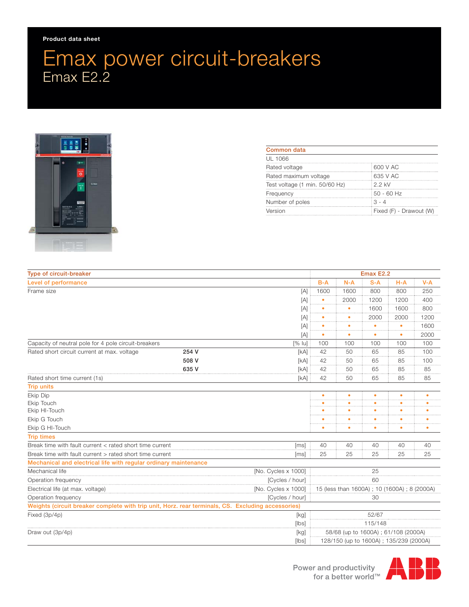## **Product data sheet**

## Emax power circuit-breakers Emax E2.2



| Common data                    |                         |
|--------------------------------|-------------------------|
| UL 1066                        |                         |
| Rated voltage                  | 600 V AC                |
| Rated maximum voltage          | 635 V AC                |
| Test voltage (1 min. 50/60 Hz) | $2.2$ kV                |
| Frequency                      | $50 - 60$ Hz            |
| Number of poles                | $3 - 4$                 |
| Version                        | Fixed (F) - Drawout (W) |

| Type of circuit-breaker                                                                            |       |         | Emax E2.2                                   |           |           |           |         |
|----------------------------------------------------------------------------------------------------|-------|---------|---------------------------------------------|-----------|-----------|-----------|---------|
| Level of performance                                                                               |       |         | $B-A$                                       | $N-A$     | $S-A$     | $H-A$     | $V - A$ |
| Frame size<br>[A]                                                                                  |       |         | 1600                                        | 1600      | 800       | 800       | 250     |
|                                                                                                    |       | [A]     |                                             | 2000      | 1200      | 1200      | 400     |
|                                                                                                    |       | [A]     |                                             | ٠         | 1600      | 1600      | 800     |
|                                                                                                    |       | [A]     |                                             | ٠         | 2000      | 2000      | 1200    |
|                                                                                                    |       | [A]     |                                             | ٠         |           |           | 1600    |
|                                                                                                    |       | [A]     |                                             | ٠         |           |           | 2000    |
| Capacity of neutral pole for 4 pole circuit-breakers<br>$[%$ lu]                                   |       |         | 100                                         | 100       | 100       | 100       | 100     |
| Rated short circuit current at max. voltage                                                        | 254 V | [kA]    | 42                                          | 50        | 65        | 85        | 100     |
|                                                                                                    | 508 V | [kA]    | 42                                          | 50        | 65        | 85        | 100     |
|                                                                                                    | 635 V | [kA]    | 42                                          | 50        | 65        | 85        | 85      |
| Rated short time current (1s)                                                                      |       | [kA]    | 42                                          | 50        | 65        | 85        | 85      |
| <b>Trip units</b>                                                                                  |       |         |                                             |           |           |           |         |
| Ekip Dip                                                                                           |       |         | $\bullet$                                   | $\bullet$ | $\bullet$ | $\bullet$ | ٠       |
| Ekip Touch                                                                                         |       |         |                                             |           |           |           |         |
| Ekip HI-Touch                                                                                      |       |         |                                             |           |           |           |         |
| Ekip G Touch                                                                                       |       |         |                                             |           |           |           |         |
| Ekip G HI-Touch                                                                                    |       |         |                                             | ۰         |           |           |         |
| <b>Trip times</b>                                                                                  |       |         |                                             |           |           |           |         |
| Break time with fault current < rated short time current<br>[ms]                                   |       |         | 40                                          | 40        | 40        | 40        | 40      |
| Break time with fault current > rated short time current<br>[ms]                                   |       |         | 25                                          | 25        | 25        | 25        | 25      |
| Mechanical and electrical life with regular ordinary maintenance                                   |       |         |                                             |           |           |           |         |
| Mechanical life<br>[No. Cycles x 1000]                                                             |       |         | 25                                          |           |           |           |         |
| [Cycles / hour]<br>Operation frequency                                                             |       |         | 60                                          |           |           |           |         |
| [No. Cycles x 1000]<br>Electrical life (at max. voltage)                                           |       |         | 15 (less than 1600A); 10 (1600A); 8 (2000A) |           |           |           |         |
| [Cycles / hour]<br>Operation frequency                                                             |       |         | 30                                          |           |           |           |         |
| Weights (circuit breaker complete with trip unit, Horz. rear terminals, CS. Excluding accessories) |       |         |                                             |           |           |           |         |
| Fixed (3p/4p)<br>[kg]                                                                              |       | 52/67   |                                             |           |           |           |         |
| [lbs]                                                                                              |       | 115/148 |                                             |           |           |           |         |
| Draw out (3p/4p)                                                                                   |       | [kg]    | 58/68 (up to 1600A) ; 61/108 (2000A)        |           |           |           |         |
| [lbs]                                                                                              |       |         | 128/150 (up to 1600A); 135/239 (2000A)      |           |           |           |         |